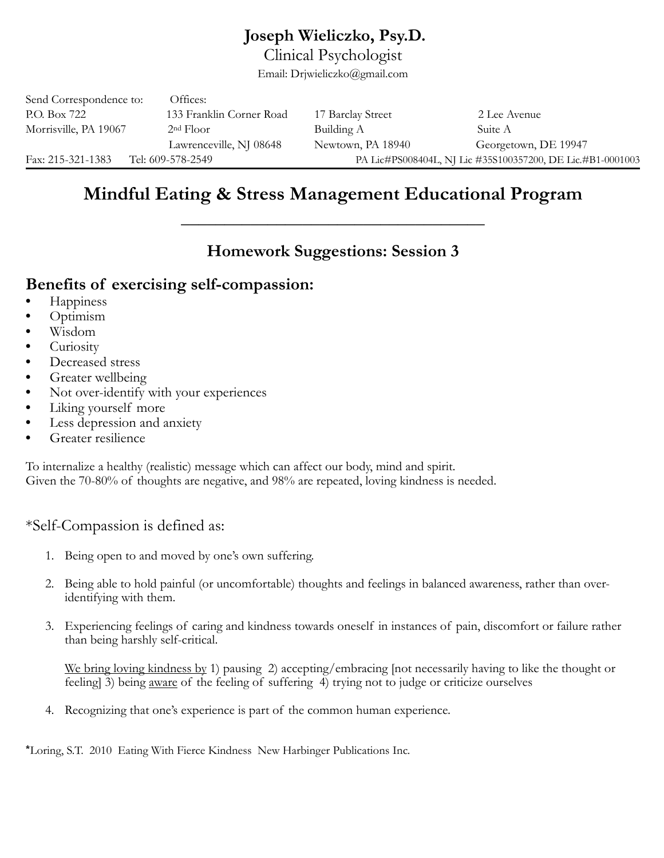# **Joseph Wieliczko, Psy.D.**

Clinical Psychologist

Email: Drjwieliczko@gmail.com

| Fax: 215-321-1383       | Tel: 609-578-2549        |                   | PA Lic#PS008404L, NJ Lic #35S100357200, DE Lic.#B1-0001003 |
|-------------------------|--------------------------|-------------------|------------------------------------------------------------|
|                         | Lawrenceville, NJ 08648  | Newtown, PA 18940 | Georgetown, DE 19947                                       |
| Morrisville, PA 19067   | 2 <sup>nd</sup> Floor    | Building A        | Suite A                                                    |
| P.O. Box 722            | 133 Franklin Corner Road | 17 Barclay Street | 2 Lee Avenue                                               |
| Send Correspondence to: | Offices:                 |                   |                                                            |

# **Mindful Eating & Stress Management Educational Program**

**\_\_\_\_\_\_\_\_\_\_\_\_\_\_\_\_\_\_\_\_\_\_\_\_\_\_\_\_\_\_\_\_\_\_\_** 

# **Homework Suggestions: Session 3**

# **Benefits of exercising self-compassion:**

- **•** Happiness
- **•** Optimism
- **•** Wisdom
- **•** Curiosity
- **•** Decreased stress
- **•** Greater wellbeing
- **•** Not over-identify with your experiences
- **•** Liking yourself more
- **•** Less depression and anxiety
- **•** Greater resilience

To internalize a healthy (realistic) message which can affect our body, mind and spirit. Given the 70-80% of thoughts are negative, and 98% are repeated, loving kindness is needed.

## \*Self-Compassion is defined as:

- 1. Being open to and moved by one's own suffering.
- 2. Being able to hold painful (or uncomfortable) thoughts and feelings in balanced awareness, rather than overidentifying with them.
- 3. Experiencing feelings of caring and kindness towards oneself in instances of pain, discomfort or failure rather than being harshly self-critical.

We bring loving kindness by 1) pausing 2) accepting/embracing [not necessarily having to like the thought or feeling] 3) being aware of the feeling of suffering 4) trying not to judge or criticize ourselves

4. Recognizing that one's experience is part of the common human experience.

\*Loring, S.T. 2010 Eating With Fierce Kindness New Harbinger Publications Inc.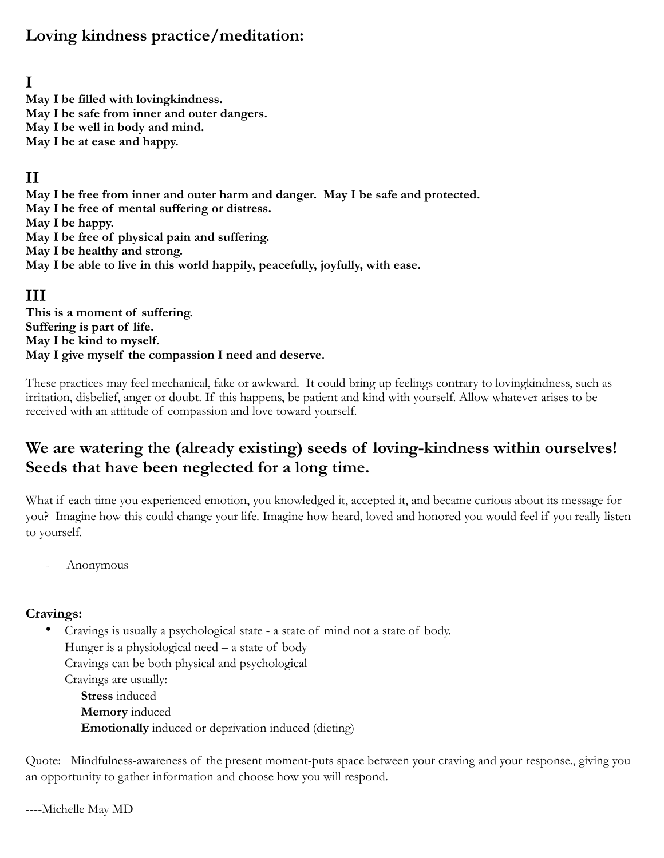# **Loving kindness practice/meditation:**

# **I**

**May I be filled with lovingkindness. May I be safe from inner and outer dangers. May I be well in body and mind.** 

**May I be at ease and happy.** 

## **II**

**May I be free from inner and outer harm and danger. May I be safe and protected. May I be free of mental suffering or distress. May I be happy. May I be free of physical pain and suffering. May I be healthy and strong. May I be able to live in this world happily, peacefully, joyfully, with ease.** 

### **III**

**This is a moment of suffering. Suffering is part of life. May I be kind to myself. May I give myself the compassion I need and deserve.** 

These practices may feel mechanical, fake or awkward. It could bring up feelings contrary to lovingkindness, such as irritation, disbelief, anger or doubt. If this happens, be patient and kind with yourself. Allow whatever arises to be received with an attitude of compassion and love toward yourself.

# **We are watering the (already existing) seeds of loving-kindness within ourselves! Seeds that have been neglected for a long time.**

What if each time you experienced emotion, you knowledged it, accepted it, and became curious about its message for you? Imagine how this could change your life. Imagine how heard, loved and honored you would feel if you really listen to yourself.

- Anonymous

#### **Cravings:**

• Cravings is usually a psychological state - a state of mind not a state of body. Hunger is a physiological need – a state of body Cravings can be both physical and psychological Cravings are usually: **Stress** induced **Memory** induced **Emotionally** induced or deprivation induced (dieting)

Quote: Mindfulness-awareness of the present moment-puts space between your craving and your response., giving you an opportunity to gather information and choose how you will respond.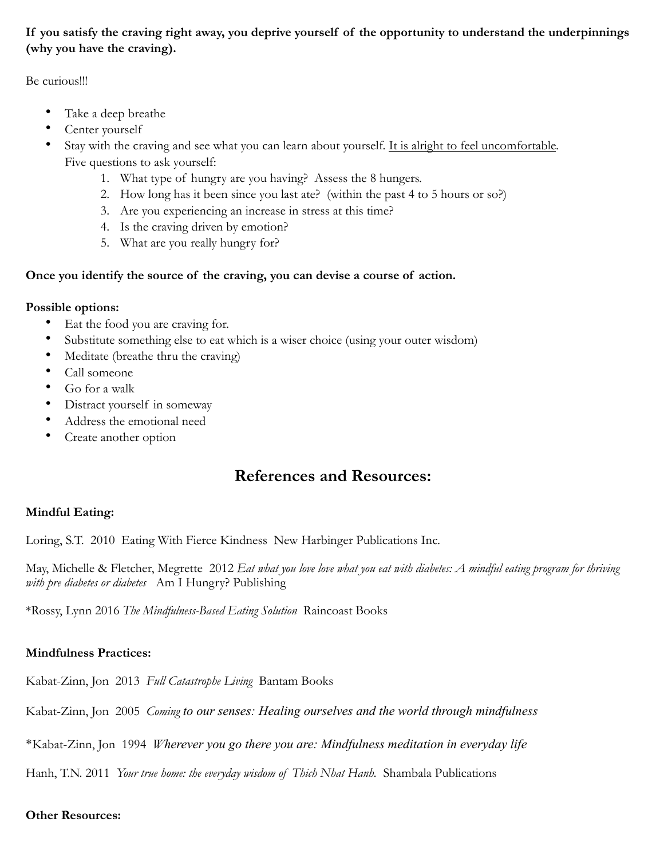#### **If you satisfy the craving right away, you deprive yourself of the opportunity to understand the underpinnings (why you have the craving).**

Be curious!!!

- Take a deep breathe
- Center yourself
- Stay with the craving and see what you can learn about yourself. It is alright to feel uncomfortable. Five questions to ask yourself:
	- 1. What type of hungry are you having? Assess the 8 hungers.
	- 2. How long has it been since you last ate? (within the past 4 to 5 hours or so?)
	- 3. Are you experiencing an increase in stress at this time?
	- 4. Is the craving driven by emotion?
	- 5. What are you really hungry for?

#### **Once you identify the source of the craving, you can devise a course of action.**

#### **Possible options:**

- Eat the food you are craving for.
- Substitute something else to eat which is a wiser choice (using your outer wisdom)
- Meditate (breathe thru the craving)
- Call someone
- Go for a walk
- Distract yourself in someway
- Address the emotional need
- Create another option

# **References and Resources:**

#### **Mindful Eating:**

Loring, S.T. 2010 Eating With Fierce Kindness New Harbinger Publications Inc.

May, Michelle & Fletcher, Megrette 2012 *Eat what you love love what you eat with diabetes: A mindful eating program for thriving with pre diabetes or diabetes* Am I Hungry? Publishing

\*Rossy, Lynn 2016 *The Mindfulness-Based Eating Solution* Raincoast Books

#### **Mindfulness Practices:**

Kabat-Zinn, Jon 2013 *Full Catastrophe Living* Bantam Books

Kabat-Zinn, Jon 2005 *Coming to our senses: Healing ourselves and the world through mindfulness* 

\*Kabat-Zinn, Jon 1994 *Wherever you go there you are: Mindfulness meditation in everyday life* 

Hanh, T.N. 2011 *Your true home: the everyday wisdom of Thich Nhat Hanh.* Shambala Publications

#### **Other Resources:**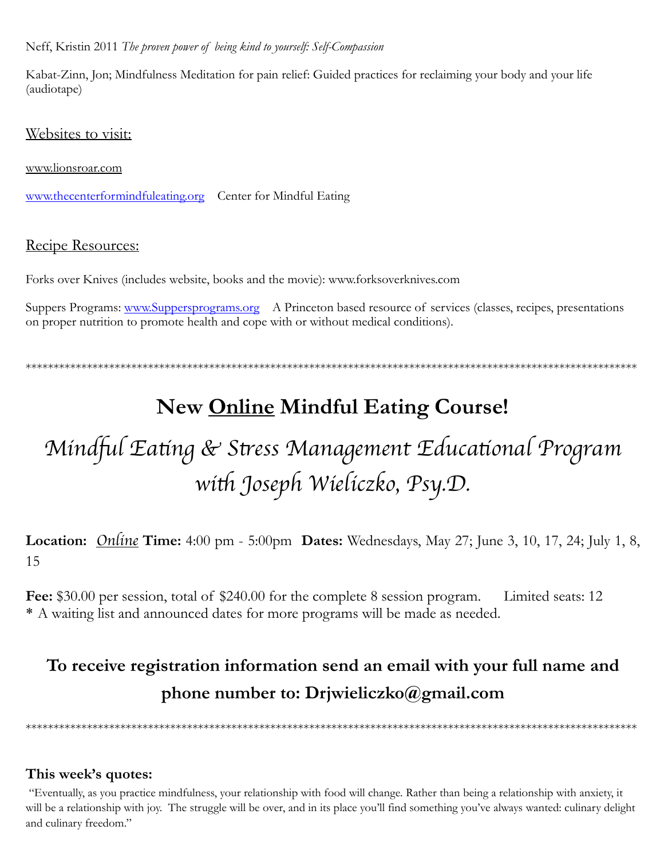Neff, Kristin 2011 The proven power of being kind to yourself: Self-Compassion

Kabat-Zinn, Jon; Mindfulness Meditation for pain relief: Guided practices for reclaiming your body and your life (audiotape)

Websites to visit:

www.lionsroar.com

www.thecenterformindfuleating.org Center for Mindful Eating

#### Recipe Resources:

Forks over Knives (includes website, books and the movie): www.forksoverknives.com

Suppers Programs: www.Suppersprograms.org A Princeton based resource of services (classes, recipes, presentations on proper nutrition to promote health and cope with or without medical conditions).

# New Online Mindful Eating Course!

# Mindful Eating & Stress Management Educational Program with Joseph Wieliczko, Psy.D.

**Location:** Online Time: 4:00 pm - 5:00pm Dates: Wednesdays, May 27; June 3, 10, 17, 24; July 1, 8, 15

Fee: \$30.00 per session, total of \$240.00 for the complete 8 session program. Limited seats: 12 \* A waiting list and announced dates for more programs will be made as needed.

# To receive registration information send an email with your full name and phone number to: Drjwieliczko@gmail.com

#### This week's quotes:

"Eventually, as you practice mindfulness, your relationship with food will change. Rather than being a relationship with anxiety, it will be a relationship with joy. The struggle will be over, and in its place you'll find something you've always wanted: culinary delight and culinary freedom."